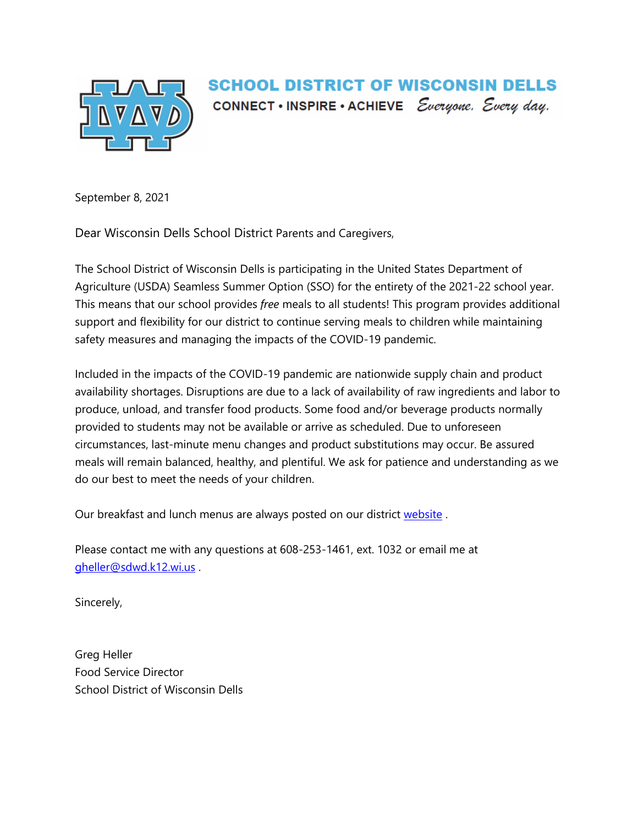

## SCHOOL DISTRICT OF WISCONSIN DELLS CONNECT • INSPIRE • ACHIEVE *Everyone*. Every day.

September 8, 2021

Dear Wisconsin Dells School District Parents and Caregivers,

The School District of Wisconsin Dells is participating in the United States Department of Agriculture (USDA) Seamless Summer Option (SSO) for the entirety of the 2021-22 school year. This means that our school provides *free* meals to all students! This program provides additional support and flexibility for our district to continue serving meals to children while maintaining safety measures and managing the impacts of the COVID-19 pandemic.

Included in the impacts of the COVID-19 pandemic are nationwide supply chain and product availability shortages. Disruptions are due to a lack of availability of raw ingredients and labor to produce, unload, and transfer food products. Some food and/or beverage products normally provided to students may not be available or arrive as scheduled. Due to unforeseen circumstances, last-minute menu changes and product substitutions may occur. Be assured meals will remain balanced, healthy, and plentiful. We ask for patience and understanding as we do our best to meet the needs of your children.

Our breakfast and lunch menus are always posted on our district [website](https://www.sdwd.k12.wi.us/Page/67).

Please contact me with any questions at 608-253-1461, ext. 1032 or email me at [gheller@sdwd.k12.wi.us](mailto:gheller@sdwd.k12.wi.us) .

Sincerely,

Greg Heller Food Service Director School District of Wisconsin Dells